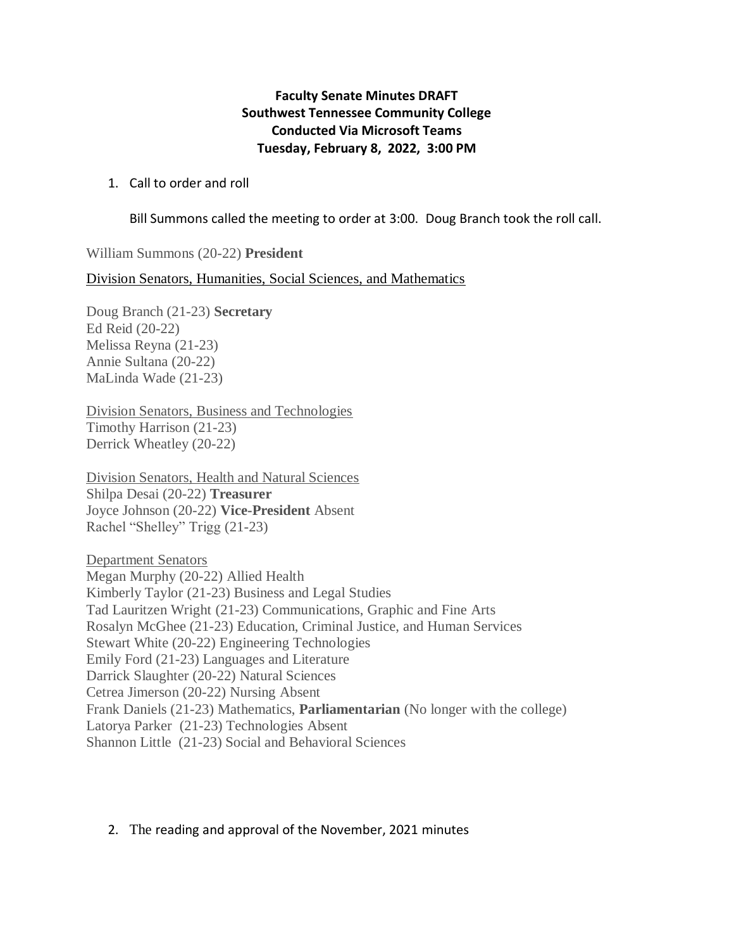## **Faculty Senate Minutes DRAFT Southwest Tennessee Community College Conducted Via Microsoft Teams Tuesday, February 8, 2022, 3:00 PM**

## 1. Call to order and roll

Bill Summons called the meeting to order at 3:00. Doug Branch took the roll call.

William Summons (20-22) **President** 

Division Senators, Humanities, Social Sciences, and Mathematics

Doug Branch (21-23) **Secretary** Ed Reid (20-22) Melissa Reyna (21-23) Annie Sultana (20-22) MaLinda Wade (21-23)

Division Senators, Business and Technologies Timothy Harrison (21-23) Derrick Wheatley (20-22)

Division Senators, Health and Natural Sciences Shilpa Desai (20-22) **Treasurer** Joyce Johnson (20-22) **Vice-President** Absent Rachel "Shelley" Trigg (21-23)

Department Senators Megan Murphy (20-22) Allied Health Kimberly Taylor (21-23) Business and Legal Studies Tad Lauritzen Wright (21-23) Communications, Graphic and Fine Arts Rosalyn McGhee (21-23) Education, Criminal Justice, and Human Services Stewart White (20-22) Engineering Technologies Emily Ford (21-23) Languages and Literature Darrick Slaughter (20-22) Natural Sciences Cetrea Jimerson (20-22) Nursing Absent Frank Daniels (21-23) Mathematics, **Parliamentarian** (No longer with the college) Latorya Parker (21-23) Technologies Absent Shannon Little (21-23) Social and Behavioral Sciences

## 2. The reading and approval of the November, 2021 minutes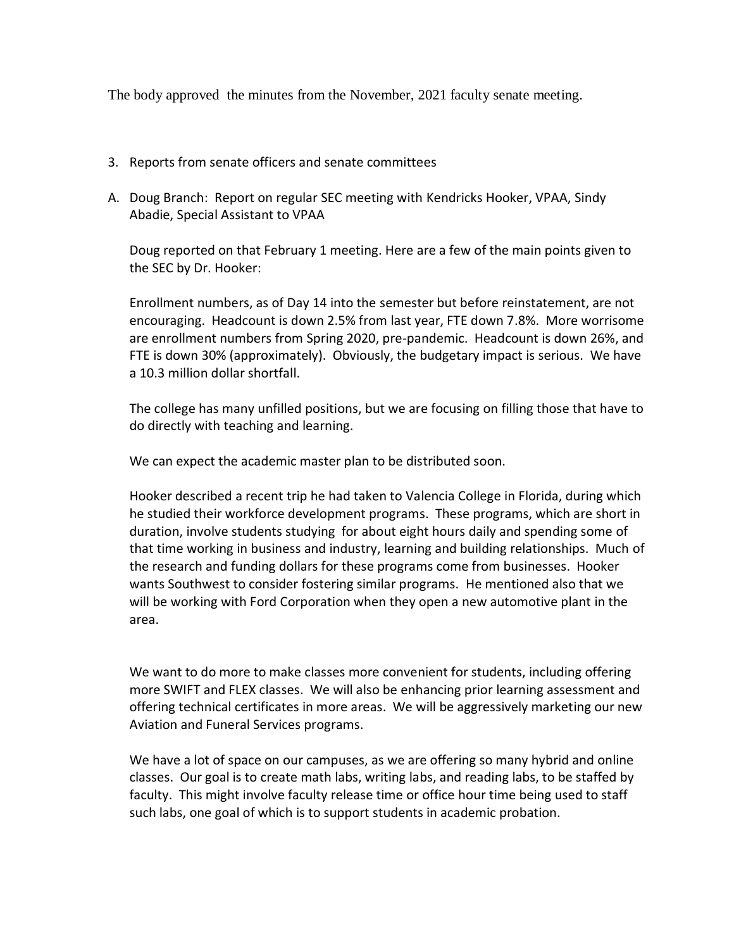The body approved the minutes from the November, 2021 faculty senate meeting.

- 3. Reports from senate officers and senate committees
- A. Doug Branch: Report on regular SEC meeting with Kendricks Hooker, VPAA, Sindy Abadie, Special Assistant to VPAA

Doug reported on that February 1 meeting. Here are a few of the main points given to the SEC by Dr. Hooker:

Enrollment numbers, as of Day 14 into the semester but before reinstatement, are not encouraging. Headcount is down 2.5% from last year, FTE down 7.8%. More worrisome are enrollment numbers from Spring 2020, pre-pandemic. Headcount is down 26%, and FTE is down 30% (approximately). Obviously, the budgetary impact is serious. We have a 10.3 million dollar shortfall.

The college has many unfilled positions, but we are focusing on filling those that have to do directly with teaching and learning.

We can expect the academic master plan to be distributed soon.

Hooker described a recent trip he had taken to Valencia College in Florida, during which he studied their workforce development programs. These programs, which are short in duration, involve students studying for about eight hours daily and spending some of that time working in business and industry, learning and building relationships. Much of the research and funding dollars for these programs come from businesses. Hooker wants Southwest to consider fostering similar programs. He mentioned also that we will be working with Ford Corporation when they open a new automotive plant in the area.

We want to do more to make classes more convenient for students, including offering more SWIFT and FLEX classes. We will also be enhancing prior learning assessment and offering technical certificates in more areas. We will be aggressively marketing our new Aviation and Funeral Services programs.

We have a lot of space on our campuses, as we are offering so many hybrid and online classes. Our goal is to create math labs, writing labs, and reading labs, to be staffed by faculty. This might involve faculty release time or office hour time being used to staff such labs, one goal of which is to support students in academic probation.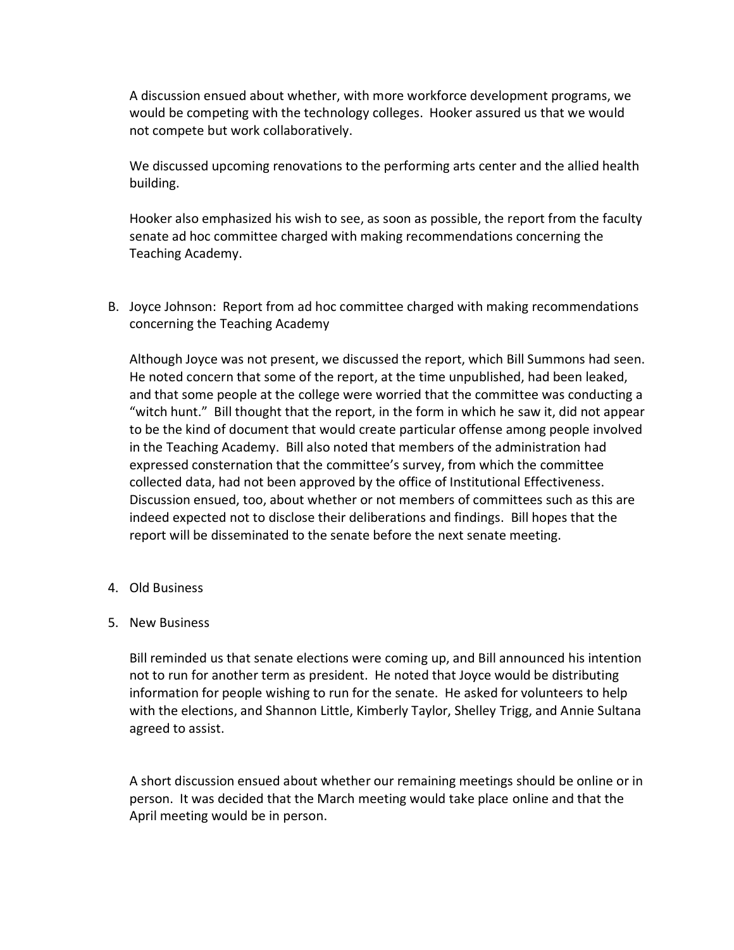A discussion ensued about whether, with more workforce development programs, we would be competing with the technology colleges. Hooker assured us that we would not compete but work collaboratively.

We discussed upcoming renovations to the performing arts center and the allied health building.

Hooker also emphasized his wish to see, as soon as possible, the report from the faculty senate ad hoc committee charged with making recommendations concerning the Teaching Academy.

B. Joyce Johnson: Report from ad hoc committee charged with making recommendations concerning the Teaching Academy

Although Joyce was not present, we discussed the report, which Bill Summons had seen. He noted concern that some of the report, at the time unpublished, had been leaked, and that some people at the college were worried that the committee was conducting a "witch hunt." Bill thought that the report, in the form in which he saw it, did not appear to be the kind of document that would create particular offense among people involved in the Teaching Academy. Bill also noted that members of the administration had expressed consternation that the committee's survey, from which the committee collected data, had not been approved by the office of Institutional Effectiveness. Discussion ensued, too, about whether or not members of committees such as this are indeed expected not to disclose their deliberations and findings. Bill hopes that the report will be disseminated to the senate before the next senate meeting.

- 4. Old Business
- 5. New Business

Bill reminded us that senate elections were coming up, and Bill announced his intention not to run for another term as president. He noted that Joyce would be distributing information for people wishing to run for the senate. He asked for volunteers to help with the elections, and Shannon Little, Kimberly Taylor, Shelley Trigg, and Annie Sultana agreed to assist.

A short discussion ensued about whether our remaining meetings should be online or in person. It was decided that the March meeting would take place online and that the April meeting would be in person.